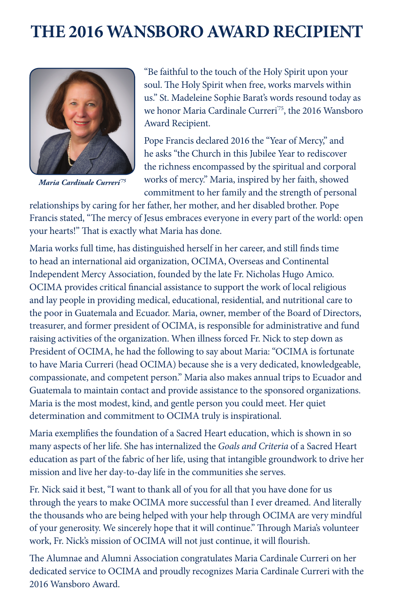## **THE 2016 WANSBORO AWARD RECIPIENT**



*Maria Cardinale Curreri'75*

"Be faithful to the touch of the Holy Spirit upon your soul. The Holy Spirit when free, works marvels within us." St. Madeleine Sophie Barat's words resound today as we honor Maria Cardinale Curreri<sup>75</sup>, the 2016 Wansboro Award Recipient.

Pope Francis declared 2016 the "Year of Mercy," and he asks "the Church in this Jubilee Year to rediscover the richness encompassed by the spiritual and corporal works of mercy." Maria, inspired by her faith, showed commitment to her family and the strength of personal

relationships by caring for her father, her mother, and her disabled brother. Pope Francis stated, "The mercy of Jesus embraces everyone in every part of the world: open your hearts!" That is exactly what Maria has done.

Maria works full time, has distinguished herself in her career, and still finds time to head an international aid organization, OCIMA, Overseas and Continental Independent Mercy Association, founded by the late Fr. Nicholas Hugo Amico. OCIMA provides critical financial assistance to support the work of local religious and lay people in providing medical, educational, residential, and nutritional care to the poor in Guatemala and Ecuador. Maria, owner, member of the Board of Directors, treasurer, and former president of OCIMA, is responsible for administrative and fund raising activities of the organization. When illness forced Fr. Nick to step down as President of OCIMA, he had the following to say about Maria: "OCIMA is fortunate to have Maria Curreri (head OCIMA) because she is a very dedicated, knowledgeable, compassionate, and competent person." Maria also makes annual trips to Ecuador and Guatemala to maintain contact and provide assistance to the sponsored organizations. Maria is the most modest, kind, and gentle person you could meet. Her quiet determination and commitment to OCIMA truly is inspirational.

Maria exemplifies the foundation of a Sacred Heart education, which is shown in so many aspects of her life. She has internalized the *Goals and Criteria* of a Sacred Heart education as part of the fabric of her life, using that intangible groundwork to drive her mission and live her day-to-day life in the communities she serves.

Fr. Nick said it best, "I want to thank all of you for all that you have done for us through the years to make OCIMA more successful than I ever dreamed. And literally the thousands who are being helped with your help through OCIMA are very mindful of your generosity. We sincerely hope that it will continue." Through Maria's volunteer work, Fr. Nick's mission of OCIMA will not just continue, it will flourish.

The Alumnae and Alumni Association congratulates Maria Cardinale Curreri on her dedicated service to OCIMA and proudly recognizes Maria Cardinale Curreri with the 2016 Wansboro Award.